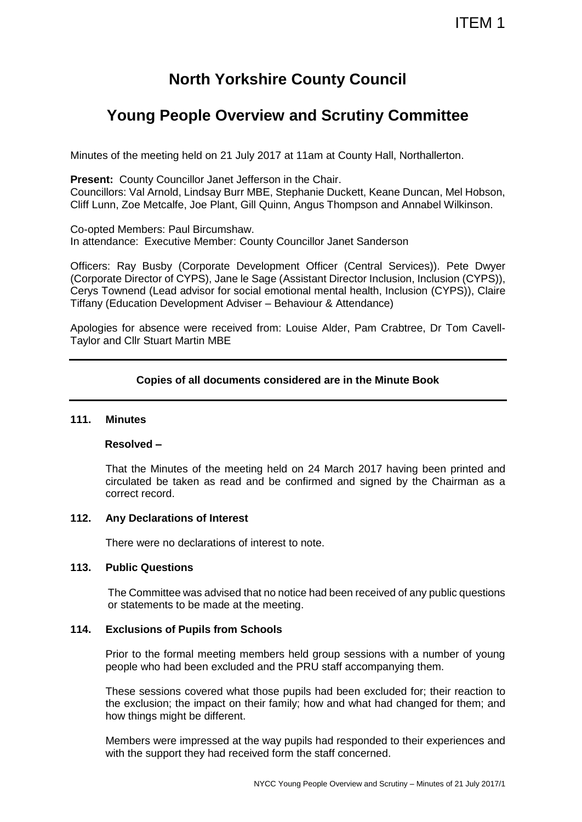# **North Yorkshire County Council**

## **Young People Overview and Scrutiny Committee**

Minutes of the meeting held on 21 July 2017 at 11am at County Hall, Northallerton.

**Present:** County Councillor Janet Jefferson in the Chair.

Councillors: Val Arnold, Lindsay Burr MBE, Stephanie Duckett, Keane Duncan, Mel Hobson, Cliff Lunn, Zoe Metcalfe, Joe Plant, Gill Quinn, Angus Thompson and Annabel Wilkinson.

Co-opted Members: Paul Bircumshaw. In attendance: Executive Member: County Councillor Janet Sanderson

Officers: Ray Busby (Corporate Development Officer (Central Services)). Pete Dwyer (Corporate Director of CYPS), Jane le Sage (Assistant Director Inclusion, Inclusion (CYPS)), Cerys Townend (Lead advisor for social emotional mental health, Inclusion (CYPS)), Claire Tiffany (Education Development Adviser – Behaviour & Attendance)

Apologies for absence were received from: Louise Alder, Pam Crabtree, Dr Tom Cavell-Taylor and Cllr Stuart Martin MBE

## **Copies of all documents considered are in the Minute Book**

#### **111. Minutes**

## **Resolved –**

That the Minutes of the meeting held on 24 March 2017 having been printed and circulated be taken as read and be confirmed and signed by the Chairman as a correct record.

#### **112. Any Declarations of Interest**

There were no declarations of interest to note.

#### **113. Public Questions**

The Committee was advised that no notice had been received of any public questions or statements to be made at the meeting.

## **114. Exclusions of Pupils from Schools**

Prior to the formal meeting members held group sessions with a number of young people who had been excluded and the PRU staff accompanying them.

These sessions covered what those pupils had been excluded for; their reaction to the exclusion; the impact on their family; how and what had changed for them; and how things might be different.

Members were impressed at the way pupils had responded to their experiences and with the support they had received form the staff concerned.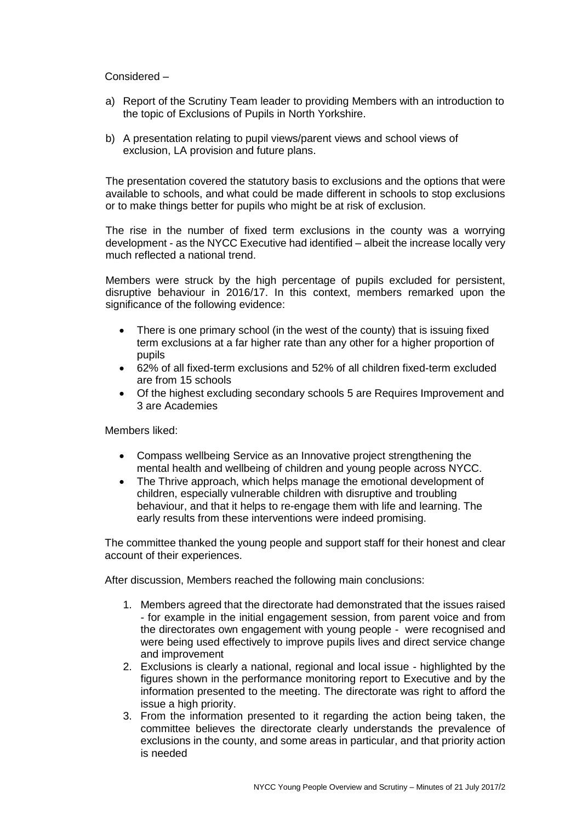Considered –

- a) Report of the Scrutiny Team leader to providing Members with an introduction to the topic of Exclusions of Pupils in North Yorkshire.
- b) A presentation relating to pupil views/parent views and school views of exclusion, LA provision and future plans.

The presentation covered the statutory basis to exclusions and the options that were available to schools, and what could be made different in schools to stop exclusions or to make things better for pupils who might be at risk of exclusion.

The rise in the number of fixed term exclusions in the county was a worrying development - as the NYCC Executive had identified – albeit the increase locally very much reflected a national trend.

Members were struck by the high percentage of pupils excluded for persistent, disruptive behaviour in 2016/17. In this context, members remarked upon the significance of the following evidence:

- There is one primary school (in the west of the county) that is issuing fixed term exclusions at a far higher rate than any other for a higher proportion of pupils
- 62% of all fixed-term exclusions and 52% of all children fixed-term excluded are from 15 schools
- Of the highest excluding secondary schools 5 are Requires Improvement and 3 are Academies

Members liked:

- Compass wellbeing Service as an Innovative project strengthening the mental health and wellbeing of children and young people across NYCC.
- The Thrive approach, which helps manage the emotional development of children, especially vulnerable children with disruptive and troubling behaviour, and that it helps to re-engage them with life and learning. The early results from these interventions were indeed promising.

The committee thanked the young people and support staff for their honest and clear account of their experiences.

After discussion, Members reached the following main conclusions:

- 1. Members agreed that the directorate had demonstrated that the issues raised - for example in the initial engagement session, from parent voice and from the directorates own engagement with young people - were recognised and were being used effectively to improve pupils lives and direct service change and improvement
- 2. Exclusions is clearly a national, regional and local issue highlighted by the figures shown in the performance monitoring report to Executive and by the information presented to the meeting. The directorate was right to afford the issue a high priority.
- 3. From the information presented to it regarding the action being taken, the committee believes the directorate clearly understands the prevalence of exclusions in the county, and some areas in particular, and that priority action is needed